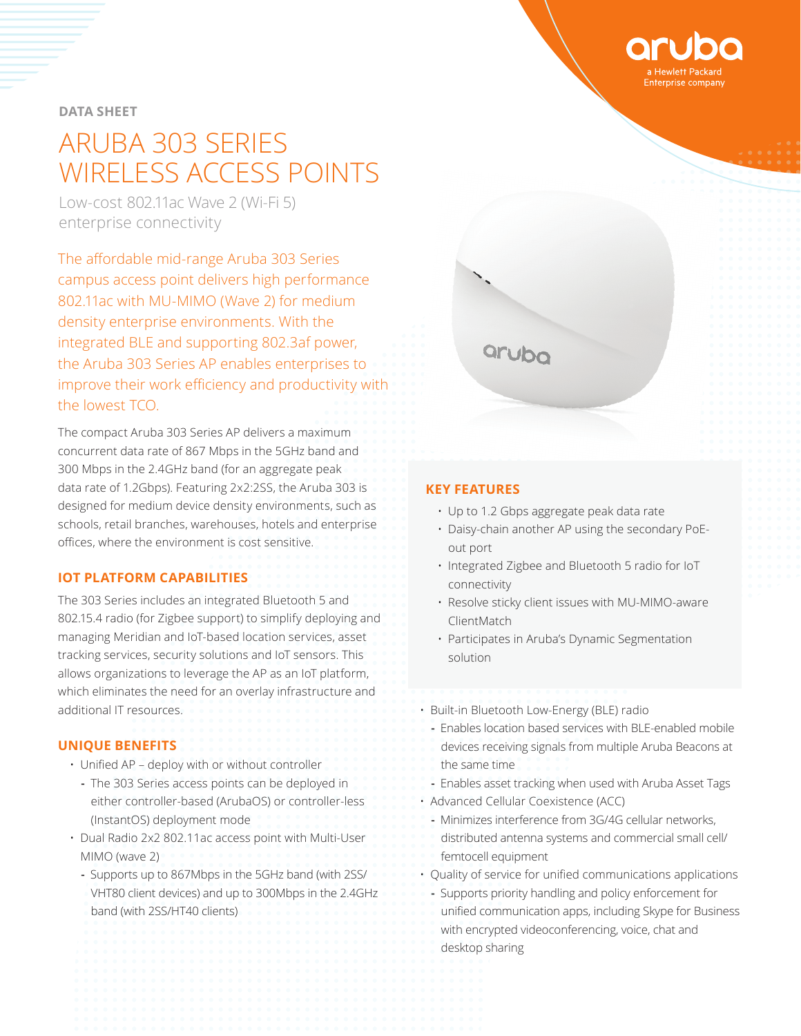**DATA SHEET**

# ARUBA 303 SERIES WIRELESS ACCESS POINTS

Low-cost 802.11ac Wave 2 (Wi-Fi 5) enterprise connectivity

The affordable mid-range Aruba 303 Series campus access point delivers high performance 802.11ac with MU-MIMO (Wave 2) for medium density enterprise environments. With the integrated BLE and supporting 802.3af power, the Aruba 303 Series AP enables enterprises to improve their work efficiency and productivity with the lowest TCO.

The compact Aruba 303 Series AP delivers a maximum concurrent data rate of 867 Mbps in the 5GHz band and 300 Mbps in the 2.4GHz band (for an aggregate peak data rate of 1.2Gbps). Featuring 2x2:2SS, the Aruba 303 is designed for medium device density environments, such as schools, retail branches, warehouses, hotels and enterprise offices, where the environment is cost sensitive.

# **IOT PLATFORM CAPABILITIES**

The 303 Series includes an integrated Bluetooth 5 and 802.15.4 radio (for Zigbee support) to simplify deploying and managing Meridian and IoT-based location services, asset tracking services, security solutions and IoT sensors. This allows organizations to leverage the AP as an IoT platform, which eliminates the need for an overlay infrastructure and additional IT resources.

# **UNIQUE BENEFITS**

- Unified AP deploy with or without controller
	- **-** The 303 Series access points can be deployed in either controller-based (ArubaOS) or controller-less (InstantOS) deployment mode
- Dual Radio 2x2 802.11ac access point with Multi-User MIMO (wave 2)
	- **-** Supports up to 867Mbps in the 5GHz band (with 2SS/ VHT80 client devices) and up to 300Mbps in the 2.4GHz band (with 2SS/HT40 clients)



#### **KEY FEATURES**

- Up to 1.2 Gbps aggregate peak data rate
- Daisy-chain another AP using the secondary PoEout port
- Integrated Zigbee and Bluetooth 5 radio for IoT connectivity
- Resolve sticky client issues with MU-MIMO-aware ClientMatch
- Participates in Aruba's Dynamic Segmentation solution

• Built-in Bluetooth Low-Energy (BLE) radio

- **-** Enables location based services with BLE-enabled mobile devices receiving signals from multiple Aruba Beacons at the same time
- **-** Enables asset tracking when used with Aruba Asset Tags
- Advanced Cellular Coexistence (ACC)
- **-** Minimizes interference from 3G/4G cellular networks, distributed antenna systems and commercial small cell/ femtocell equipment
- Quality of service for unified communications applications
- **-** Supports priority handling and policy enforcement for unified communication apps, including Skype for Business with encrypted videoconferencing, voice, chat and desktop sharing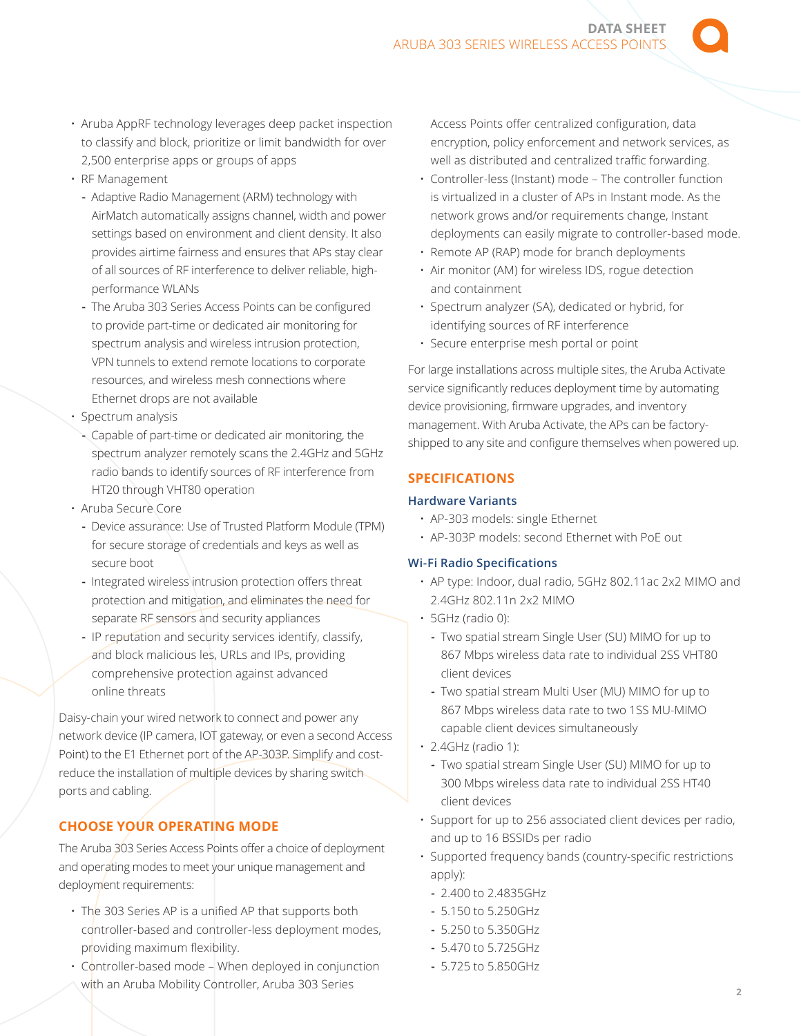- Aruba AppRF technology leverages deep packet inspection to classify and block, prioritize or limit bandwidth for over 2,500 enterprise apps or groups of apps
- RF Management
	- **-** Adaptive Radio Management (ARM) technology with AirMatch automatically assigns channel, width and power settings based on environment and client density. It also provides airtime fairness and ensures that APs stay clear of all sources of RF interference to deliver reliable, highperformance WLANs
	- **-** The Aruba 303 Series Access Points can be configured to provide part-time or dedicated air monitoring for spectrum analysis and wireless intrusion protection, VPN tunnels to extend remote locations to corporate resources, and wireless mesh connections where Ethernet drops are not available
- Spectrum analysis
- **-** Capable of part-time or dedicated air monitoring, the spectrum analyzer remotely scans the 2.4GHz and 5GHz radio bands to identify sources of RF interference from HT20 through VHT80 operation
- Aruba Secure Core
	- **-** Device assurance: Use of Trusted Platform Module (TPM) for secure storage of credentials and keys as well as secure boot
	- **-** Integrated wireless intrusion protection offers threat protection and mitigation, and eliminates the need for separate RF sensors and security appliances
	- **-** IP reputation and security services identify, classify, and block malicious les, URLs and IPs, providing comprehensive protection against advanced online threats

Daisy-chain your wired network to connect and power any network device (IP camera, IOT gateway, or even a second Access Point) to the E1 Ethernet port of the AP-303P. Simplify and costreduce the installation of multiple devices by sharing switch ports and cabling.

# **CHOOSE YOUR OPERATING MODE**

The Aruba 303 Series Access Points offer a choice of deployment and operating modes to meet your unique management and deployment requirements:

- The 303 Series AP is a unified AP that supports both controller-based and controller-less deployment modes, providing maximum flexibility.
- Controller-based mode When deployed in conjunction with an Aruba Mobility Controller, Aruba 303 Series

Access Points offer centralized configuration, data encryption, policy enforcement and network services, as well as distributed and centralized traffic forwarding.

- Controller-less (Instant) mode The controller function is virtualized in a cluster of APs in Instant mode. As the network grows and/or requirements change, Instant deployments can easily migrate to controller-based mode.
- Remote AP (RAP) mode for branch deployments
- Air monitor (AM) for wireless IDS, rogue detection and containment
- Spectrum analyzer (SA), dedicated or hybrid, for identifying sources of RF interference
- Secure enterprise mesh portal or point

For large installations across multiple sites, the Aruba Activate service significantly reduces deployment time by automating device provisioning, firmware upgrades, and inventory management. With Aruba Activate, the APs can be factoryshipped to any site and configure themselves when powered up.

# **SPECIFICATIONS**

# **Hardware Variants**

- AP-303 models: single Ethernet
- AP-303P models: second Ethernet with PoE out

## **Wi-Fi Radio Specifications**

- AP type: Indoor, dual radio, 5GHz 802.11ac 2x2 MIMO and 2.4GHz 802.11n 2x2 MIMO
- 5GHz (radio 0):
	- **-** Two spatial stream Single User (SU) MIMO for up to 867 Mbps wireless data rate to individual 2SS VHT80 client devices
	- **-** Two spatial stream Multi User (MU) MIMO for up to 867 Mbps wireless data rate to two 1SS MU-MIMO capable client devices simultaneously
- 2.4GHz (radio 1):
	- **-** Two spatial stream Single User (SU) MIMO for up to 300 Mbps wireless data rate to individual 2SS HT40 client devices
- Support for up to 256 associated client devices per radio, and up to 16 BSSIDs per radio
- Supported frequency bands (country-specific restrictions apply):
- **-** 2.400 to 2.4835GHz
- **-** 5.150 to 5.250GHz
- **-** 5.250 to 5.350GHz
- **-** 5.470 to 5.725GHz
- **-** 5.725 to 5.850GHz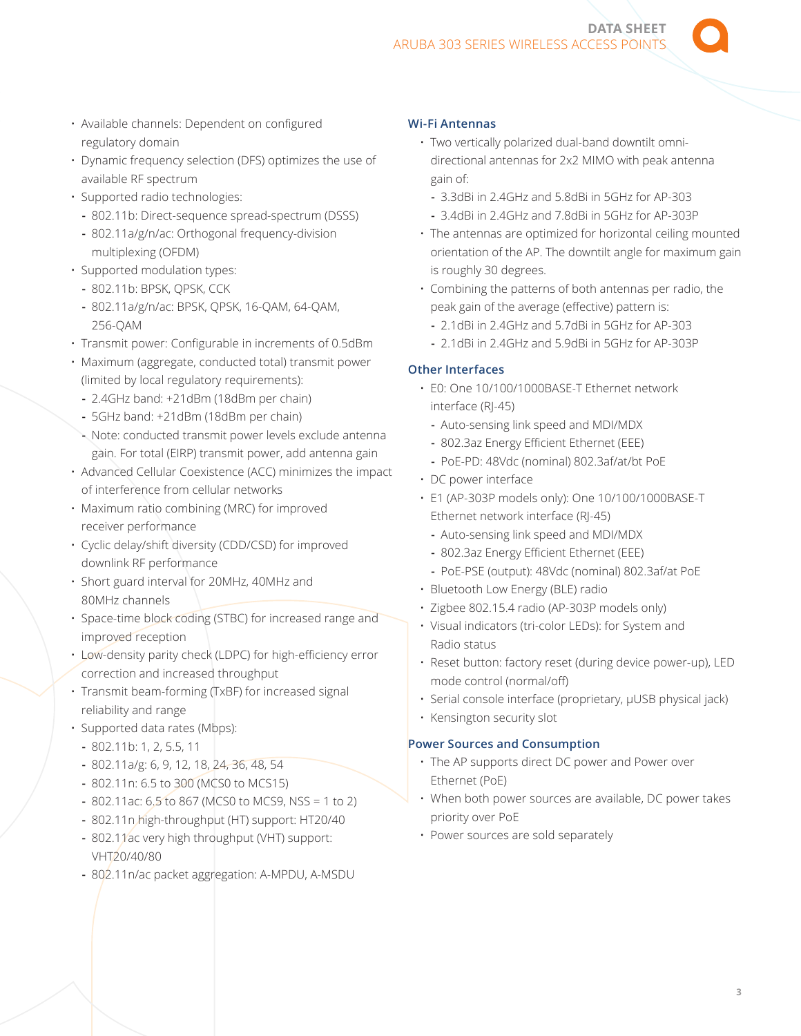**DATA SHEET**  ARUBA 303 SERIES WIRELESS ACCESS POINT

- Available channels: Dependent on configured regulatory domain
- Dynamic frequency selection (DFS) optimizes the use of available RF spectrum
- Supported radio technologies:
	- **-** 802.11b: Direct-sequence spread-spectrum (DSSS)
	- **-** 802.11a/g/n/ac: Orthogonal frequency-division multiplexing (OFDM)
- Supported modulation types:
	- **-** 802.11b: BPSK, QPSK, CCK
	- **-** 802.11a/g/n/ac: BPSK, QPSK, 16-QAM, 64-QAM, 256-QAM
- Transmit power: Configurable in increments of 0.5dBm
- Maximum (aggregate, conducted total) transmit power (limited by local regulatory requirements):
	- **-** 2.4GHz band: +21dBm (18dBm per chain)
	- **-** 5GHz band: +21dBm (18dBm per chain)
	- **-** Note: conducted transmit power levels exclude antenna gain. For total (EIRP) transmit power, add antenna gain
- Advanced Cellular Coexistence (ACC) minimizes the impact of interference from cellular networks
- Maximum ratio combining (MRC) for improved receiver performance
- Cyclic delay/shift diversity (CDD/CSD) for improved downlink RF performance
- Short guard interval for 20MHz, 40MHz and 80MHz channels
- Space-time block coding (STBC) for increased range and improved reception
- Low-density parity check (LDPC) for high-efficiency error correction and increased throughput
- Transmit beam-forming (TxBF) for increased signal reliability and range
- Supported data rates (Mbps):
	- **-** 802.11b: 1, 2, 5.5, 11
	- **-** 802.11a/g: 6, 9, 12, 18, 24, 36, 48, 54
	- **-** 802.11n: 6.5 to 300 (MCS0 to MCS15)
	- **-** 802.11ac: 6.5 to 867 (MCS0 to MCS9, NSS = 1 to 2)
	- **-** 802.11n high-throughput (HT) support: HT20/40
	- **-** 802.11ac very high throughput (VHT) support: VHT20/40/80
	- **-** 802.11n/ac packet aggregation: A-MPDU, A-MSDU

#### **Wi-Fi Antennas**

- Two vertically polarized dual-band downtilt omnidirectional antennas for 2x2 MIMO with peak antenna gain of:
	- **-** 3.3dBi in 2.4GHz and 5.8dBi in 5GHz for AP-303 **-** 3.4dBi in 2.4GHz and 7.8dBi in 5GHz for AP-303P
- The antennas are optimized for horizontal ceiling mounted orientation of the AP. The downtilt angle for maximum gain is roughly 30 degrees.
- Combining the patterns of both antennas per radio, the peak gain of the average (effective) pattern is:
	- **-** 2.1dBi in 2.4GHz and 5.7dBi in 5GHz for AP-303
	- **-** 2.1dBi in 2.4GHz and 5.9dBi in 5GHz for AP-303P

# **Other Interfaces**

- E0: One 10/100/1000BASE-T Ethernet network interface (RJ-45)
	- **-** Auto-sensing link speed and MDI/MDX
	- **-** 802.3az Energy Efficient Ethernet (EEE)
	- **-** PoE-PD: 48Vdc (nominal) 802.3af/at/bt PoE
- DC power interface
- E1 (AP-303P models only): One 10/100/1000BASE-T Ethernet network interface (RJ-45)
	- **-** Auto-sensing link speed and MDI/MDX
	- **-** 802.3az Energy Efficient Ethernet (EEE)
	- **-** PoE-PSE (output): 48Vdc (nominal) 802.3af/at PoE
- Bluetooth Low Energy (BLE) radio
- Zigbee 802.15.4 radio (AP-303P models only)
- Visual indicators (tri-color LEDs): for System and Radio status
- Reset button: factory reset (during device power-up), LED mode control (normal/off)
- Serial console interface (proprietary, µUSB physical jack)
- Kensington security slot

## **Power Sources and Consumption**

- The AP supports direct DC power and Power over Ethernet (PoE)
- When both power sources are available, DC power takes priority over PoE
- Power sources are sold separately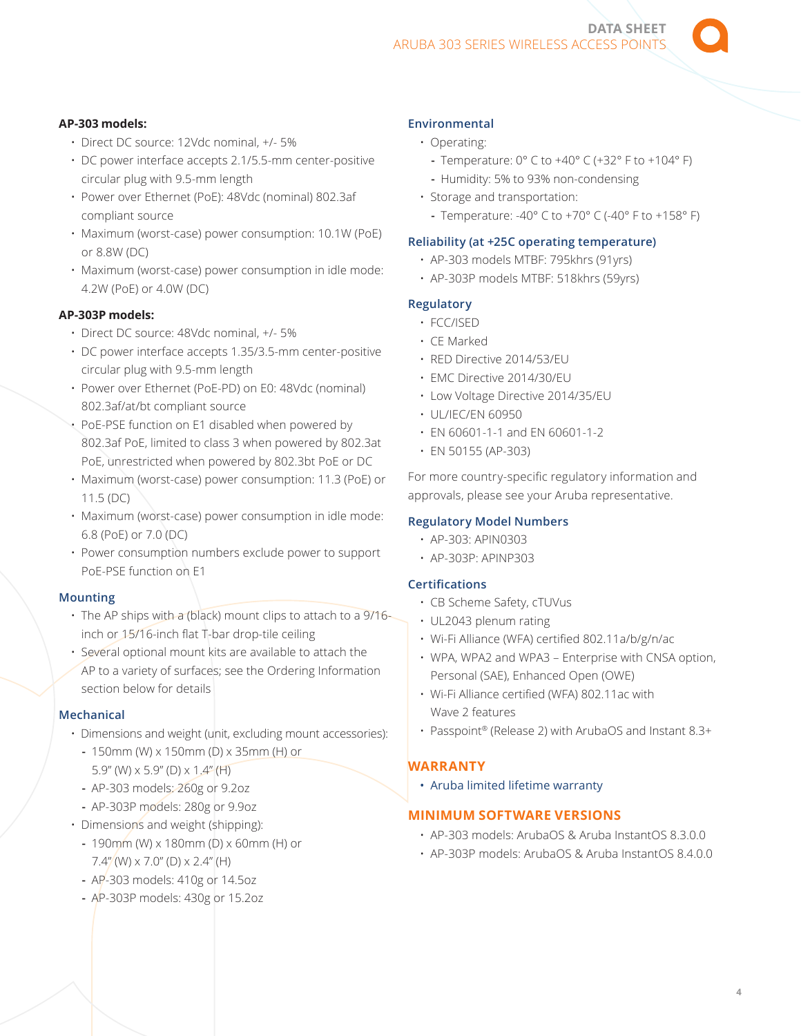**DATA SHEET**  ARUBA 303 SERIES WIRELESS ACCESS POINTS

## **AP-303 models:**

- Direct DC source: 12Vdc nominal, +/- 5%
- DC power interface accepts 2.1/5.5-mm center-positive circular plug with 9.5-mm length
- Power over Ethernet (PoE): 48Vdc (nominal) 802.3af compliant source
- Maximum (worst-case) power consumption: 10.1W (PoE) or 8.8W (DC)
- Maximum (worst-case) power consumption in idle mode: 4.2W (PoE) or 4.0W (DC)

#### **AP-303P models:**

- Direct DC source: 48Vdc nominal, +/- 5%
- DC power interface accepts 1.35/3.5-mm center-positive circular plug with 9.5-mm length
- Power over Ethernet (PoE-PD) on E0: 48Vdc (nominal) 802.3af/at/bt compliant source
- PoE-PSE function on E1 disabled when powered by 802.3af PoE, limited to class 3 when powered by 802.3at PoE, unrestricted when powered by 802.3bt PoE or DC
- Maximum (worst-case) power consumption: 11.3 (PoE) or 11.5 (DC)
- Maximum (worst-case) power consumption in idle mode: 6.8 (PoE) or 7.0 (DC)
- Power consumption numbers exclude power to support PoE-PSE function on E1

#### **Mounting**

- The AP ships with a (black) mount clips to attach to a 9/16 inch or 15/16-inch flat T-bar drop-tile ceiling
- Several optional mount kits are available to attach the AP to a variety of surfaces; see the Ordering Information section below for details

#### **Mechanical**

- Dimensions and weight (unit, excluding mount accessories):
	- **-** 150mm (W) x 150mm (D) x 35mm (H) or 5.9" (W)  $\times$  5.9" (D)  $\times$  1.4" (H)
	- **-** AP-303 models: 260g or 9.2oz
	- **-** AP-303P models: 280g or 9.9oz
- Dimensions and weight (shipping):
	- **-** 190mm (W) x 180mm (D) x 60mm (H) or 7.4" (W)  $\times$  7.0" (D)  $\times$  2.4" (H)
	- **-** AP-303 models: 410g or 14.5oz
- **-** AP-303P models: 430g or 15.2oz

## **Environmental**

- Operating:
	- **-** Temperature: 0° C to +40° C (+32° F to +104° F)
	- **-** Humidity: 5% to 93% non-condensing
- Storage and transportation:
	- **-** Temperature: -40° C to +70° C (-40° F to +158° F)

#### **Reliability (at +25C operating temperature)**

- AP-303 models MTBF: 795khrs (91yrs)
- AP-303P models MTBF: 518khrs (59yrs)

## **Regulatory**

- FCC/ISED
- CE Marked
- RED Directive 2014/53/EU
- EMC Directive 2014/30/EU
- Low Voltage Directive 2014/35/EU
- UL/IEC/EN 60950
- EN 60601-1-1 and EN 60601-1-2
- EN 50155 (AP-303)

For more country-specific regulatory information and approvals, please see your Aruba representative.

#### **Regulatory Model Numbers**

- AP-303: APIN0303
- AP-303P: APINP303

# **Certifications**

- CB Scheme Safety, cTUVus
- UL2043 plenum rating
- Wi-Fi Alliance (WFA) certified 802.11a/b/g/n/ac
- WPA, WPA2 and WPA3 Enterprise with CNSA option, Personal (SAE), Enhanced Open (OWE)
- Wi-Fi Alliance certified (WFA) 802.11ac with Wave 2 features
- Passpoint® (Release 2) with ArubaOS and Instant 8.3+

## **WARRANTY**

• [Aruba limited lifetime warranty](http://www.arubanetworks.com/support-services/product-warranties/)

# **MINIMUM SOFTWARE VERSIONS**

- AP-303 models: ArubaOS & Aruba InstantOS 8.3.0.0
- AP-303P models: ArubaOS & Aruba InstantOS 8.4.0.0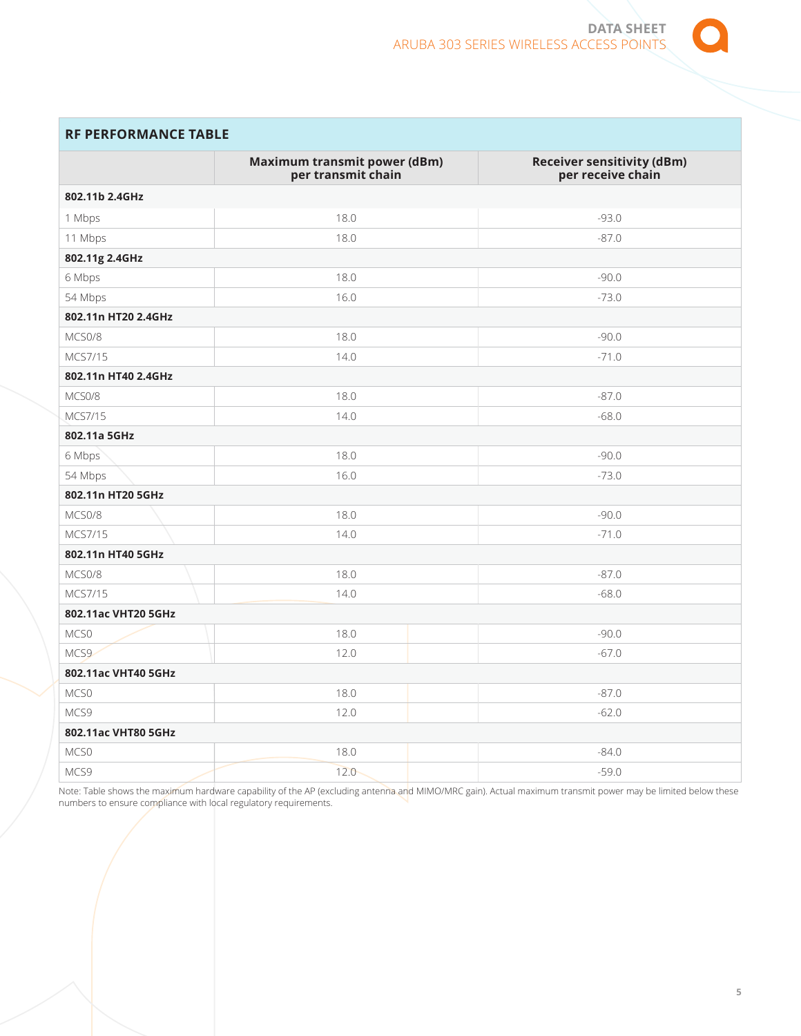

# **RF PERFORMANCE TABLE**

|                     | Maximum transmit power (dBm)<br>per transmit chain | <b>Receiver sensitivity (dBm)</b><br>per receive chain |
|---------------------|----------------------------------------------------|--------------------------------------------------------|
| 802.11b 2.4GHz      |                                                    |                                                        |
| 1 Mbps              | 18.0                                               | $-93.0$                                                |
| 11 Mbps             | 18.0                                               | $-87.0$                                                |
| 802.11g 2.4GHz      |                                                    |                                                        |
| 6 Mbps              | 18.0                                               | $-90.0$                                                |
| 54 Mbps             | 16.0                                               | $-73.0$                                                |
| 802.11n HT20 2.4GHz |                                                    |                                                        |
| MCS0/8              | 18.0                                               | $-90.0$                                                |
| MCS7/15             | 14.0                                               | $-71.0$                                                |
| 802.11n HT40 2.4GHz |                                                    |                                                        |
| MCS0/8              | 18.0                                               | $-87.0$                                                |
| MCS7/15             | 14.0                                               | $-68.0$                                                |
| 802.11a 5GHz        |                                                    |                                                        |
| 6 Mbps              | 18.0                                               | $-90.0$                                                |
| 54 Mbps             | 16.0                                               | $-73.0$                                                |
| 802.11n HT20 5GHz   |                                                    |                                                        |
| MCS0/8              | 18.0                                               | $-90.0$                                                |
| MCS7/15             | 14.0                                               | $-71.0$                                                |
| 802.11n HT40 5GHz   |                                                    |                                                        |
| MCS0/8              | 18.0                                               | $-87.0$                                                |
| MCS7/15             | 14.0                                               | $-68.0$                                                |
| 802.11ac VHT20 5GHz |                                                    |                                                        |
| MCS0                | 18.0                                               | $-90.0$                                                |
| MCS9                | 12.0                                               | $-67.0$                                                |
| 802.11ac VHT40 5GHz |                                                    |                                                        |
| MCS0                | 18.0                                               | $-87.0$                                                |
| MCS9                | 12.0                                               | $-62.0$                                                |
| 802.11ac VHT80 5GHz |                                                    |                                                        |
| MCS0                | 18.0                                               | $-84.0$                                                |
| MCS9                | 12.0                                               | $-59.0$                                                |

Note: Table shows the maximum hardware capability of the AP (excluding antenna and MIMO/MRC gain). Actual maximum transmit power may be limited below these numbers to ensure compliance with local regulatory requirements.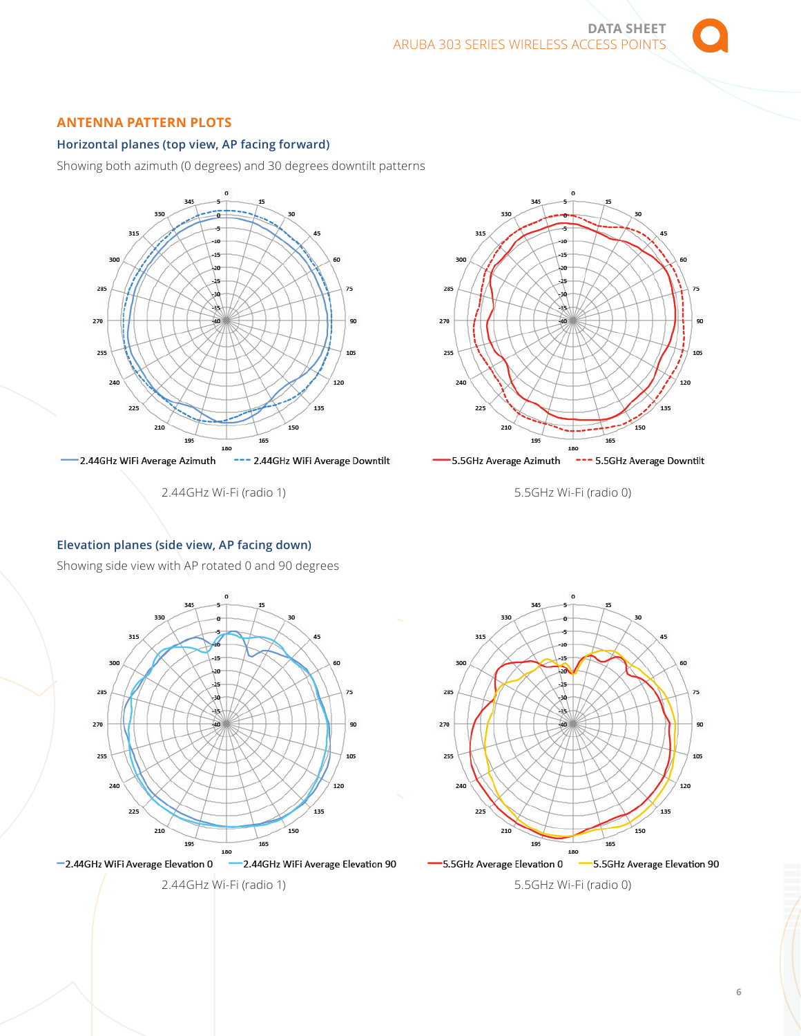# **ANTENNA PATTERN PLOTS**

# **Horizontal planes (top view, AP facing forward)**

Showing both azimuth (0 degrees) and 30 degrees downtilt patterns



2.44GHz Wi-Fi (radio 1)



5.5GHz Wi-Fi (radio 0)

#### **Elevation planes (side view, AP facing down)**

Showing side view with AP rotated 0 and 90 degrees



-2.44GHz WiFi Average Elevation 0

2.44GHz Wi-Fi (radio 1)



5.5GHz Wi-Fi (radio 0)